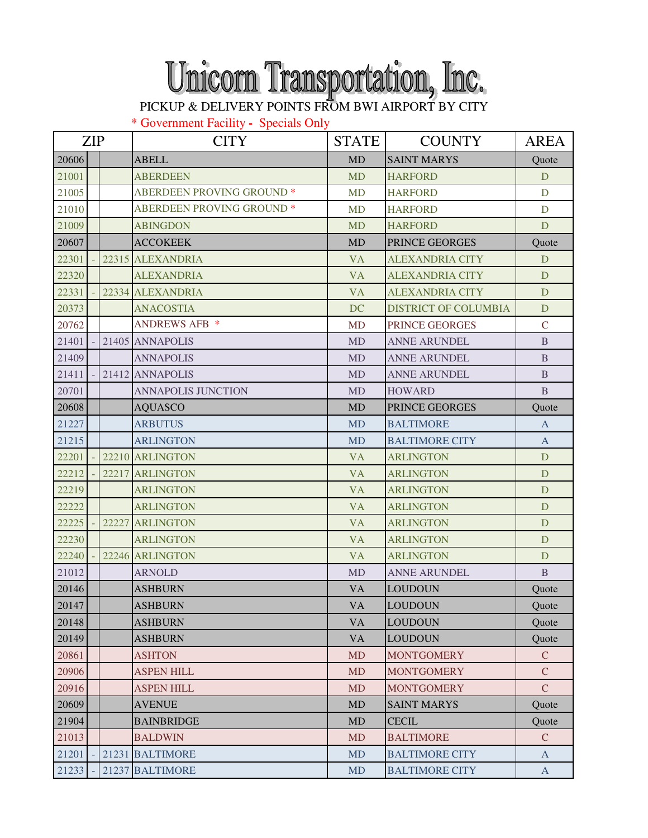## Unicorn Transportation, Inc.

\* Government Facility **-** Specials Only

|       | <b>ZIP</b> |       | <b>CITY</b>                      | <b>STATE</b> | <b>COUNTY</b>               | <b>AREA</b>    |
|-------|------------|-------|----------------------------------|--------------|-----------------------------|----------------|
| 20606 |            |       | <b>ABELL</b>                     | <b>MD</b>    | <b>SAINT MARYS</b>          | Quote          |
| 21001 |            |       | <b>ABERDEEN</b>                  | <b>MD</b>    | <b>HARFORD</b>              | D              |
| 21005 |            |       | <b>ABERDEEN PROVING GROUND *</b> | <b>MD</b>    | <b>HARFORD</b>              | D              |
| 21010 |            |       | <b>ABERDEEN PROVING GROUND *</b> | <b>MD</b>    | <b>HARFORD</b>              | $\mathbf D$    |
| 21009 |            |       | <b>ABINGDON</b>                  | <b>MD</b>    | <b>HARFORD</b>              | D              |
| 20607 |            |       | <b>ACCOKEEK</b>                  | <b>MD</b>    | PRINCE GEORGES              | Quote          |
| 22301 |            |       | 22315 ALEXANDRIA                 | <b>VA</b>    | <b>ALEXANDRIA CITY</b>      | D              |
| 22320 |            |       | <b>ALEXANDRIA</b>                | <b>VA</b>    | <b>ALEXANDRIA CITY</b>      | D              |
| 22331 |            |       | 22334 ALEXANDRIA                 | <b>VA</b>    | <b>ALEXANDRIA CITY</b>      | D              |
| 20373 |            |       | <b>ANACOSTIA</b>                 | <b>DC</b>    | <b>DISTRICT OF COLUMBIA</b> | D              |
| 20762 |            |       | <b>ANDREWS AFB *</b>             | <b>MD</b>    | PRINCE GEORGES              | $\mathsf{C}$   |
| 21401 |            |       | 21405 ANNAPOLIS                  | <b>MD</b>    | <b>ANNE ARUNDEL</b>         | $\mathbf B$    |
| 21409 |            |       | <b>ANNAPOLIS</b>                 | <b>MD</b>    | <b>ANNE ARUNDEL</b>         | $\mathbf{B}$   |
| 21411 |            |       | 21412 ANNAPOLIS                  | <b>MD</b>    | <b>ANNE ARUNDEL</b>         | $\mathbf{B}$   |
| 20701 |            |       | <b>ANNAPOLIS JUNCTION</b>        | <b>MD</b>    | <b>HOWARD</b>               | $\overline{B}$ |
| 20608 |            |       | <b>AQUASCO</b>                   | <b>MD</b>    | PRINCE GEORGES              | Quote          |
| 21227 |            |       | <b>ARBUTUS</b>                   | <b>MD</b>    | <b>BALTIMORE</b>            | $\mathbf{A}$   |
| 21215 |            |       | <b>ARLINGTON</b>                 | <b>MD</b>    | <b>BALTIMORE CITY</b>       | $\overline{A}$ |
| 22201 |            |       | 22210 ARLINGTON                  | <b>VA</b>    | <b>ARLINGTON</b>            | D              |
| 22212 |            | 22217 | <b>ARLINGTON</b>                 | <b>VA</b>    | <b>ARLINGTON</b>            | D              |
| 22219 |            |       | <b>ARLINGTON</b>                 | <b>VA</b>    | <b>ARLINGTON</b>            | D              |
| 22222 |            |       | <b>ARLINGTON</b>                 | <b>VA</b>    | <b>ARLINGTON</b>            | D              |
| 22225 |            | 22227 | <b>ARLINGTON</b>                 | <b>VA</b>    | <b>ARLINGTON</b>            | D              |
| 22230 |            |       | <b>ARLINGTON</b>                 | <b>VA</b>    | <b>ARLINGTON</b>            | D              |
| 22240 |            |       | 22246 ARLINGTON                  | <b>VA</b>    | <b>ARLINGTON</b>            | D              |
| 21012 |            |       | <b>ARNOLD</b>                    | <b>MD</b>    | <b>ANNE ARUNDEL</b>         | B              |
| 20146 |            |       | <b>ASHBURN</b>                   | <b>VA</b>    | <b>LOUDOUN</b>              | Quote          |
| 20147 |            |       | <b>ASHBURN</b>                   | <b>VA</b>    | <b>LOUDOUN</b>              | Quote          |
| 20148 |            |       | <b>ASHBURN</b>                   | <b>VA</b>    | <b>LOUDOUN</b>              | Quote          |
| 20149 |            |       | <b>ASHBURN</b>                   | <b>VA</b>    | <b>LOUDOUN</b>              | Quote          |
| 20861 |            |       | <b>ASHTON</b>                    | <b>MD</b>    | <b>MONTGOMERY</b>           | $\mathcal{C}$  |
| 20906 |            |       | <b>ASPEN HILL</b>                | <b>MD</b>    | <b>MONTGOMERY</b>           | $\mathcal{C}$  |
| 20916 |            |       | <b>ASPEN HILL</b>                | <b>MD</b>    | <b>MONTGOMERY</b>           | $\mathcal{C}$  |
| 20609 |            |       | <b>AVENUE</b>                    | <b>MD</b>    | <b>SAINT MARYS</b>          | Quote          |
| 21904 |            |       | <b>BAINBRIDGE</b>                | <b>MD</b>    | <b>CECIL</b>                | Quote          |
| 21013 |            |       | <b>BALDWIN</b>                   | <b>MD</b>    | <b>BALTIMORE</b>            | $\mathcal{C}$  |
| 21201 |            | 21231 | <b>BALTIMORE</b>                 | <b>MD</b>    | <b>BALTIMORE CITY</b>       | $\mathbf{A}$   |
| 21233 |            |       | 21237 BALTIMORE                  | MD           | <b>BALTIMORE CITY</b>       | $\mathbf{A}$   |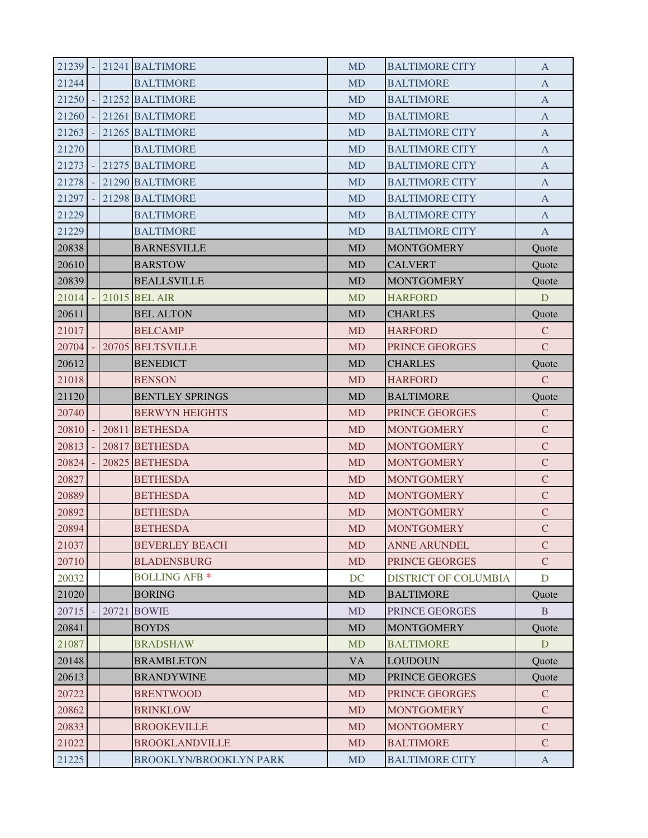| 21239 |  | 21241 BALTIMORE        | <b>MD</b> | <b>BALTIMORE CITY</b>       | A             |
|-------|--|------------------------|-----------|-----------------------------|---------------|
| 21244 |  | <b>BALTIMORE</b>       | <b>MD</b> | <b>BALTIMORE</b>            | A             |
| 21250 |  | 21252 BALTIMORE        | <b>MD</b> | <b>BALTIMORE</b>            | $\mathbf{A}$  |
| 21260 |  | 21261 BALTIMORE        | <b>MD</b> | <b>BALTIMORE</b>            | $\mathbf{A}$  |
| 21263 |  | 21265 BALTIMORE        | <b>MD</b> | <b>BALTIMORE CITY</b>       | A             |
| 21270 |  | <b>BALTIMORE</b>       | <b>MD</b> | <b>BALTIMORE CITY</b>       | A             |
| 21273 |  | 21275 BALTIMORE        | <b>MD</b> | <b>BALTIMORE CITY</b>       | A             |
| 21278 |  | 21290 BALTIMORE        | <b>MD</b> | <b>BALTIMORE CITY</b>       | $\mathbf{A}$  |
| 21297 |  | 21298 BALTIMORE        | <b>MD</b> | <b>BALTIMORE CITY</b>       | $\mathbf{A}$  |
| 21229 |  | <b>BALTIMORE</b>       | <b>MD</b> | <b>BALTIMORE CITY</b>       | A             |
| 21229 |  | <b>BALTIMORE</b>       | <b>MD</b> | <b>BALTIMORE CITY</b>       | A             |
| 20838 |  | <b>BARNESVILLE</b>     | <b>MD</b> | <b>MONTGOMERY</b>           | Quote         |
| 20610 |  | <b>BARSTOW</b>         | <b>MD</b> | <b>CALVERT</b>              | Quote         |
| 20839 |  | <b>BEALLSVILLE</b>     | <b>MD</b> | <b>MONTGOMERY</b>           | Quote         |
| 21014 |  | 21015 BEL AIR          | <b>MD</b> | <b>HARFORD</b>              | D             |
| 20611 |  | <b>BEL ALTON</b>       | <b>MD</b> | <b>CHARLES</b>              | Quote         |
| 21017 |  | <b>BELCAMP</b>         | <b>MD</b> | <b>HARFORD</b>              | $\mathcal{C}$ |
| 20704 |  | 20705 BELTSVILLE       | <b>MD</b> | PRINCE GEORGES              | $\mathcal{C}$ |
| 20612 |  | <b>BENEDICT</b>        | <b>MD</b> | <b>CHARLES</b>              | Quote         |
| 21018 |  | <b>BENSON</b>          | <b>MD</b> | <b>HARFORD</b>              | $\mathcal{C}$ |
| 21120 |  | <b>BENTLEY SPRINGS</b> | <b>MD</b> | <b>BALTIMORE</b>            | Quote         |
| 20740 |  | <b>BERWYN HEIGHTS</b>  | <b>MD</b> | PRINCE GEORGES              | $\mathcal{C}$ |
| 20810 |  | 20811 BETHESDA         | <b>MD</b> | <b>MONTGOMERY</b>           | $\mathcal{C}$ |
| 20813 |  | 20817 BETHESDA         | <b>MD</b> | <b>MONTGOMERY</b>           | $\mathbf C$   |
| 20824 |  | 20825 BETHESDA         | <b>MD</b> | <b>MONTGOMERY</b>           | $\mathbf C$   |
| 20827 |  | <b>BETHESDA</b>        | <b>MD</b> | <b>MONTGOMERY</b>           | $\mathbf C$   |
| 20889 |  | <b>BETHESDA</b>        | <b>MD</b> | <b>MONTGOMERY</b>           | $\mathbf C$   |
| 20892 |  | <b>BETHESDA</b>        | <b>MD</b> | <b>MONTGOMERY</b>           | $\mathbf C$   |
| 20894 |  | <b>BETHESDA</b>        | <b>MD</b> | <b>MONTGOMERY</b>           | $\mathbf C$   |
| 21037 |  | <b>BEVERLEY BEACH</b>  | <b>MD</b> | <b>ANNE ARUNDEL</b>         | $\mathcal{C}$ |
| 20710 |  | <b>BLADENSBURG</b>     | <b>MD</b> | PRINCE GEORGES              | $\mathcal{C}$ |
| 20032 |  | <b>BOLLING AFB *</b>   | DC        | <b>DISTRICT OF COLUMBIA</b> | D             |
| 21020 |  | <b>BORING</b>          | MD        | <b>BALTIMORE</b>            | Quote         |
| 20715 |  | 20721 BOWIE            | <b>MD</b> | PRINCE GEORGES              | $\mathbf{B}$  |
| 20841 |  | <b>BOYDS</b>           | <b>MD</b> | <b>MONTGOMERY</b>           | Quote         |
| 21087 |  | <b>BRADSHAW</b>        | <b>MD</b> | <b>BALTIMORE</b>            | D             |
| 20148 |  | <b>BRAMBLETON</b>      | <b>VA</b> | <b>LOUDOUN</b>              | Quote         |
| 20613 |  | <b>BRANDYWINE</b>      | <b>MD</b> | PRINCE GEORGES              | Quote         |
| 20722 |  | <b>BRENTWOOD</b>       | <b>MD</b> | PRINCE GEORGES              | $\mathcal{C}$ |
| 20862 |  | <b>BRINKLOW</b>        | <b>MD</b> | <b>MONTGOMERY</b>           | $\mathbf C$   |
| 20833 |  | <b>BROOKEVILLE</b>     | <b>MD</b> | <b>MONTGOMERY</b>           | $\mathcal{C}$ |
| 21022 |  | <b>BROOKLANDVILLE</b>  | <b>MD</b> | <b>BALTIMORE</b>            | $\mathcal{C}$ |
| 21225 |  | BROOKLYN/BROOKLYN PARK | MD        | <b>BALTIMORE CITY</b>       | $\mathbf{A}$  |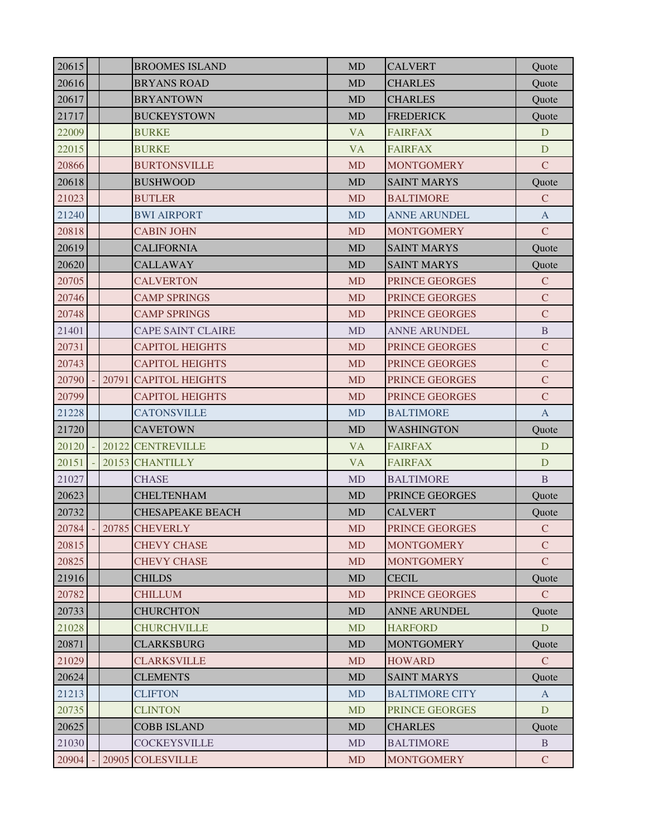| 20615 |  | <b>BROOMES ISLAND</b>    | <b>MD</b> | <b>CALVERT</b>        | Quote         |
|-------|--|--------------------------|-----------|-----------------------|---------------|
| 20616 |  | <b>BRYANS ROAD</b>       | <b>MD</b> | <b>CHARLES</b>        | Quote         |
| 20617 |  | <b>BRYANTOWN</b>         | <b>MD</b> | <b>CHARLES</b>        | Quote         |
| 21717 |  | <b>BUCKEYSTOWN</b>       | MD        | <b>FREDERICK</b>      | Quote         |
| 22009 |  | <b>BURKE</b>             | <b>VA</b> | <b>FAIRFAX</b>        | D             |
| 22015 |  | <b>BURKE</b>             | <b>VA</b> | <b>FAIRFAX</b>        | D             |
| 20866 |  | <b>BURTONSVILLE</b>      | <b>MD</b> | <b>MONTGOMERY</b>     | $\mathcal{C}$ |
| 20618 |  | <b>BUSHWOOD</b>          | MD        | <b>SAINT MARYS</b>    | Quote         |
| 21023 |  | <b>BUTLER</b>            | <b>MD</b> | <b>BALTIMORE</b>      | $\mathcal{C}$ |
| 21240 |  | <b>BWI AIRPORT</b>       | <b>MD</b> | <b>ANNE ARUNDEL</b>   | A             |
| 20818 |  | <b>CABIN JOHN</b>        | <b>MD</b> | <b>MONTGOMERY</b>     | $\mathcal{C}$ |
| 20619 |  | <b>CALIFORNIA</b>        | <b>MD</b> | <b>SAINT MARYS</b>    | Quote         |
| 20620 |  | <b>CALLAWAY</b>          | <b>MD</b> | <b>SAINT MARYS</b>    | Quote         |
| 20705 |  | <b>CALVERTON</b>         | <b>MD</b> | PRINCE GEORGES        | $\mathcal{C}$ |
| 20746 |  | <b>CAMP SPRINGS</b>      | <b>MD</b> | PRINCE GEORGES        | $\mathbf C$   |
| 20748 |  | <b>CAMP SPRINGS</b>      | <b>MD</b> | PRINCE GEORGES        | $\mathbf C$   |
| 21401 |  | <b>CAPE SAINT CLAIRE</b> | <b>MD</b> | <b>ANNE ARUNDEL</b>   | $\mathbf B$   |
| 20731 |  | <b>CAPITOL HEIGHTS</b>   | <b>MD</b> | PRINCE GEORGES        | $\mathbf C$   |
| 20743 |  | <b>CAPITOL HEIGHTS</b>   | <b>MD</b> | PRINCE GEORGES        | $\mathbf C$   |
| 20790 |  | 20791 CAPITOL HEIGHTS    | <b>MD</b> | PRINCE GEORGES        | $\mathbf C$   |
| 20799 |  | <b>CAPITOL HEIGHTS</b>   | <b>MD</b> | PRINCE GEORGES        | $\mathbf C$   |
| 21228 |  | <b>CATONSVILLE</b>       | <b>MD</b> | <b>BALTIMORE</b>      | $\mathbf{A}$  |
| 21720 |  | <b>CAVETOWN</b>          | <b>MD</b> | <b>WASHINGTON</b>     | Quote         |
| 20120 |  | 20122 CENTREVILLE        | <b>VA</b> | <b>FAIRFAX</b>        | D             |
| 20151 |  | 20153 CHANTILLY          | <b>VA</b> | <b>FAIRFAX</b>        | D             |
| 21027 |  | <b>CHASE</b>             | <b>MD</b> | <b>BALTIMORE</b>      | B             |
| 20623 |  | <b>CHELTENHAM</b>        | <b>MD</b> | PRINCE GEORGES        | Quote         |
| 20732 |  | <b>CHESAPEAKE BEACH</b>  | <b>MD</b> | <b>CALVERT</b>        | Quote         |
| 20784 |  | 20785 CHEVERLY           | <b>MD</b> | PRINCE GEORGES        | $\mathcal{C}$ |
| 20815 |  | <b>CHEVY CHASE</b>       | <b>MD</b> | <b>MONTGOMERY</b>     | $\mathcal{C}$ |
| 20825 |  | <b>CHEVY CHASE</b>       | <b>MD</b> | <b>MONTGOMERY</b>     | $\mathcal{C}$ |
| 21916 |  | <b>CHILDS</b>            | <b>MD</b> | <b>CECIL</b>          | Quote         |
| 20782 |  | <b>CHILLUM</b>           | <b>MD</b> | PRINCE GEORGES        | $\mathbf{C}$  |
| 20733 |  | <b>CHURCHTON</b>         | MD        | <b>ANNE ARUNDEL</b>   | Quote         |
| 21028 |  | <b>CHURCHVILLE</b>       | <b>MD</b> | <b>HARFORD</b>        | D             |
| 20871 |  | CLARKSBURG               | <b>MD</b> | <b>MONTGOMERY</b>     | Quote         |
| 21029 |  | <b>CLARKSVILLE</b>       | <b>MD</b> | <b>HOWARD</b>         | $\mathbf C$   |
| 20624 |  | <b>CLEMENTS</b>          | <b>MD</b> | <b>SAINT MARYS</b>    | Quote         |
| 21213 |  | <b>CLIFTON</b>           | <b>MD</b> | <b>BALTIMORE CITY</b> | A             |
| 20735 |  | <b>CLINTON</b>           | <b>MD</b> | PRINCE GEORGES        | D             |
| 20625 |  | <b>COBB ISLAND</b>       | <b>MD</b> | <b>CHARLES</b>        | Quote         |
| 21030 |  | COCKEYSVILLE             | <b>MD</b> | <b>BALTIMORE</b>      | B             |
| 20904 |  | 20905 COLESVILLE         | MD        | <b>MONTGOMERY</b>     | $\mathcal{C}$ |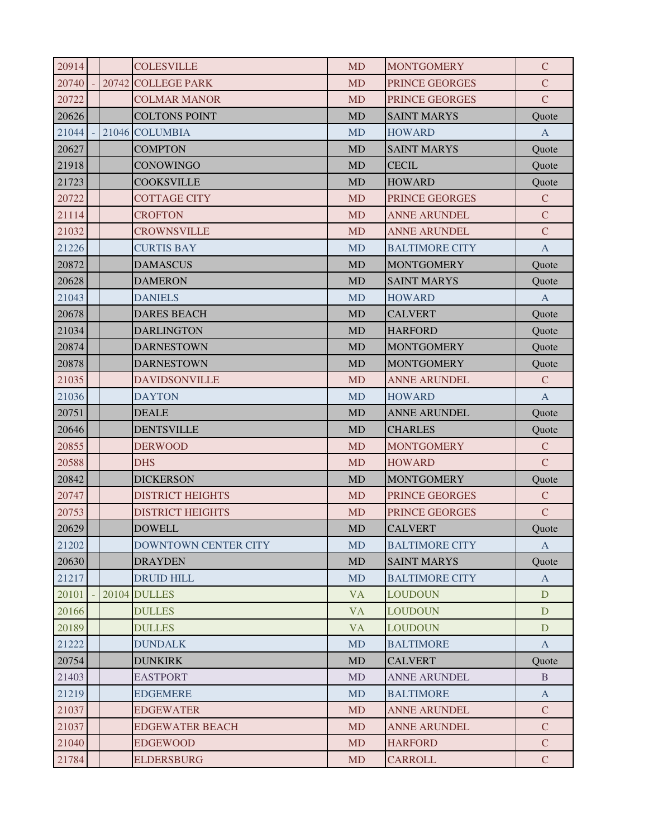| 20914 |  | <b>COLESVILLE</b>           | <b>MD</b> | <b>MONTGOMERY</b>     | $\mathcal{C}$ |
|-------|--|-----------------------------|-----------|-----------------------|---------------|
| 20740 |  | 20742 COLLEGE PARK          | <b>MD</b> | PRINCE GEORGES        | $\mathbf C$   |
| 20722 |  | <b>COLMAR MANOR</b>         | <b>MD</b> | PRINCE GEORGES        | $\mathcal{C}$ |
| 20626 |  | <b>COLTONS POINT</b>        | <b>MD</b> | <b>SAINT MARYS</b>    | Quote         |
| 21044 |  | 21046 COLUMBIA              | <b>MD</b> | <b>HOWARD</b>         | $\mathbf{A}$  |
| 20627 |  | <b>COMPTON</b>              | <b>MD</b> | <b>SAINT MARYS</b>    | Quote         |
| 21918 |  | CONOWINGO                   | <b>MD</b> | <b>CECIL</b>          | Quote         |
| 21723 |  | <b>COOKSVILLE</b>           | <b>MD</b> | <b>HOWARD</b>         | Quote         |
| 20722 |  | <b>COTTAGE CITY</b>         | <b>MD</b> | PRINCE GEORGES        | $\mathbf C$   |
| 21114 |  | <b>CROFTON</b>              | <b>MD</b> | <b>ANNE ARUNDEL</b>   | $\mathbf C$   |
| 21032 |  | <b>CROWNSVILLE</b>          | <b>MD</b> | <b>ANNE ARUNDEL</b>   | $\mathbf C$   |
| 21226 |  | <b>CURTIS BAY</b>           | <b>MD</b> | <b>BALTIMORE CITY</b> | $\mathbf{A}$  |
| 20872 |  | <b>DAMASCUS</b>             | <b>MD</b> | <b>MONTGOMERY</b>     | Quote         |
| 20628 |  | <b>DAMERON</b>              | <b>MD</b> | <b>SAINT MARYS</b>    | Quote         |
| 21043 |  | <b>DANIELS</b>              | <b>MD</b> | <b>HOWARD</b>         | $\mathbf{A}$  |
| 20678 |  | <b>DARES BEACH</b>          | <b>MD</b> | <b>CALVERT</b>        | Quote         |
| 21034 |  | <b>DARLINGTON</b>           | <b>MD</b> | <b>HARFORD</b>        | Quote         |
| 20874 |  | <b>DARNESTOWN</b>           | <b>MD</b> | <b>MONTGOMERY</b>     | Quote         |
| 20878 |  | <b>DARNESTOWN</b>           | <b>MD</b> | <b>MONTGOMERY</b>     | Quote         |
| 21035 |  | <b>DAVIDSONVILLE</b>        | <b>MD</b> | <b>ANNE ARUNDEL</b>   | $\mathbf C$   |
| 21036 |  | <b>DAYTON</b>               | <b>MD</b> | <b>HOWARD</b>         | $\mathbf{A}$  |
| 20751 |  | <b>DEALE</b>                | <b>MD</b> | <b>ANNE ARUNDEL</b>   | Quote         |
| 20646 |  | <b>DENTSVILLE</b>           | <b>MD</b> | <b>CHARLES</b>        | Quote         |
| 20855 |  | <b>DERWOOD</b>              | <b>MD</b> | <b>MONTGOMERY</b>     | $\mathbf C$   |
| 20588 |  | <b>DHS</b>                  | <b>MD</b> | <b>HOWARD</b>         | $\mathsf{C}$  |
| 20842 |  | <b>DICKERSON</b>            | <b>MD</b> | <b>MONTGOMERY</b>     | Quote         |
| 20747 |  | <b>DISTRICT HEIGHTS</b>     | <b>MD</b> | PRINCE GEORGES        | $\mathsf{C}$  |
| 20753 |  | <b>DISTRICT HEIGHTS</b>     | <b>MD</b> | PRINCE GEORGES        | $\mathcal{C}$ |
| 20629 |  | <b>DOWELL</b>               | <b>MD</b> | <b>CALVERT</b>        | Ouote         |
| 21202 |  | <b>DOWNTOWN CENTER CITY</b> | <b>MD</b> | <b>BALTIMORE CITY</b> | $\mathbf{A}$  |
| 20630 |  | <b>DRAYDEN</b>              | <b>MD</b> | <b>SAINT MARYS</b>    | Quote         |
| 21217 |  | DRUID HILL                  | <b>MD</b> | <b>BALTIMORE CITY</b> | $\mathbf{A}$  |
| 20101 |  | <b>20104 DULLES</b>         | <b>VA</b> | <b>LOUDOUN</b>        | D             |
| 20166 |  | <b>DULLES</b>               | <b>VA</b> | <b>LOUDOUN</b>        | D             |
| 20189 |  | <b>DULLES</b>               | <b>VA</b> | <b>LOUDOUN</b>        | D             |
| 21222 |  | <b>DUNDALK</b>              | <b>MD</b> | <b>BALTIMORE</b>      | $\mathbf{A}$  |
| 20754 |  | <b>DUNKIRK</b>              | MD        | <b>CALVERT</b>        | Quote         |
| 21403 |  | <b>EASTPORT</b>             | <b>MD</b> | <b>ANNE ARUNDEL</b>   | B             |
| 21219 |  | <b>EDGEMERE</b>             | <b>MD</b> | <b>BALTIMORE</b>      | $\mathbf{A}$  |
| 21037 |  | <b>EDGEWATER</b>            | MD        | <b>ANNE ARUNDEL</b>   | $\mathbf C$   |
| 21037 |  | <b>EDGEWATER BEACH</b>      | <b>MD</b> | <b>ANNE ARUNDEL</b>   | $\mathcal{C}$ |
| 21040 |  | <b>EDGEWOOD</b>             | <b>MD</b> | <b>HARFORD</b>        | $\mathbf C$   |
| 21784 |  | <b>ELDERSBURG</b>           | MD        | <b>CARROLL</b>        | $\mathbf C$   |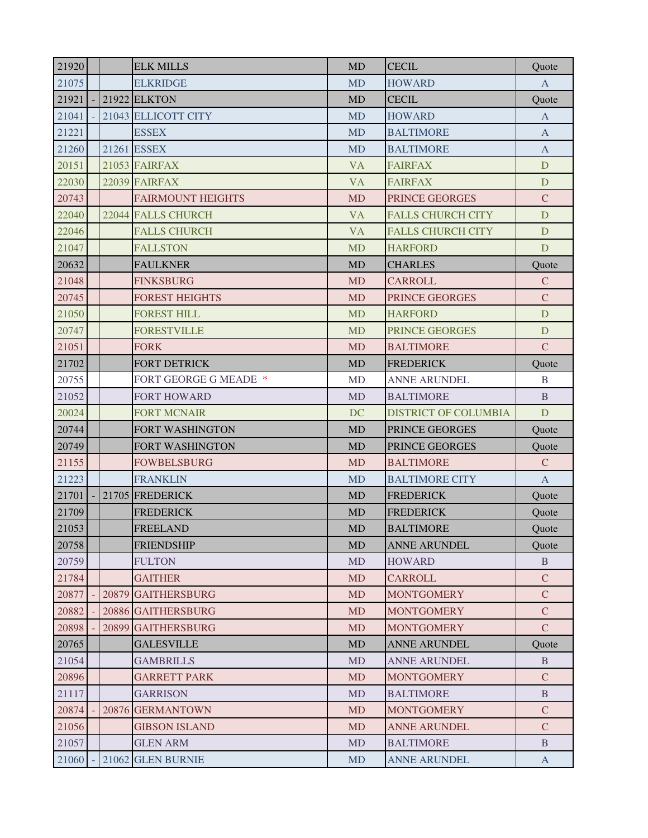| 21920 |  | <b>ELK MILLS</b>         | <b>MD</b> | <b>CECIL</b>                | Ouote         |
|-------|--|--------------------------|-----------|-----------------------------|---------------|
| 21075 |  | <b>ELKRIDGE</b>          | <b>MD</b> | <b>HOWARD</b>               | $\mathbf{A}$  |
| 21921 |  | 21922 ELKTON             | <b>MD</b> | <b>CECIL</b>                | Quote         |
| 21041 |  | 21043 ELLICOTT CITY      | <b>MD</b> | <b>HOWARD</b>               | $\mathbf{A}$  |
| 21221 |  | <b>ESSEX</b>             | <b>MD</b> | <b>BALTIMORE</b>            | $\mathbf{A}$  |
| 21260 |  | 21261 ESSEX              | <b>MD</b> | <b>BALTIMORE</b>            | A             |
| 20151 |  | 21053 FAIRFAX            | <b>VA</b> | <b>FAIRFAX</b>              | D             |
| 22030 |  | 22039 FAIRFAX            | <b>VA</b> | <b>FAIRFAX</b>              | D             |
| 20743 |  | <b>FAIRMOUNT HEIGHTS</b> | <b>MD</b> | PRINCE GEORGES              | $\mathbf C$   |
| 22040 |  | 22044 FALLS CHURCH       | <b>VA</b> | <b>FALLS CHURCH CITY</b>    | D             |
| 22046 |  | <b>FALLS CHURCH</b>      | <b>VA</b> | <b>FALLS CHURCH CITY</b>    | D             |
| 21047 |  | <b>FALLSTON</b>          | <b>MD</b> | <b>HARFORD</b>              | D             |
| 20632 |  | <b>FAULKNER</b>          | <b>MD</b> | <b>CHARLES</b>              | Quote         |
| 21048 |  | <b>FINKSBURG</b>         | <b>MD</b> | <b>CARROLL</b>              | $\mathcal{C}$ |
| 20745 |  | <b>FOREST HEIGHTS</b>    | <b>MD</b> | PRINCE GEORGES              | $\mathbf C$   |
| 21050 |  | <b>FOREST HILL</b>       | <b>MD</b> | <b>HARFORD</b>              | D             |
| 20747 |  | <b>FORESTVILLE</b>       | <b>MD</b> | PRINCE GEORGES              | D             |
| 21051 |  | <b>FORK</b>              | <b>MD</b> | <b>BALTIMORE</b>            | $\mathsf{C}$  |
| 21702 |  | <b>FORT DETRICK</b>      | <b>MD</b> | <b>FREDERICK</b>            | Quote         |
| 20755 |  | FORT GEORGE G MEADE *    | <b>MD</b> | <b>ANNE ARUNDEL</b>         | $\mathbf B$   |
| 21052 |  | <b>FORT HOWARD</b>       | <b>MD</b> | <b>BALTIMORE</b>            | B             |
| 20024 |  | <b>FORT MCNAIR</b>       | DC        | <b>DISTRICT OF COLUMBIA</b> | D             |
| 20744 |  | FORT WASHINGTON          | <b>MD</b> | PRINCE GEORGES              | Quote         |
| 20749 |  | <b>FORT WASHINGTON</b>   | <b>MD</b> | PRINCE GEORGES              | Quote         |
| 21155 |  | <b>FOWBELSBURG</b>       | <b>MD</b> | <b>BALTIMORE</b>            | $\mathbf C$   |
| 21223 |  | <b>FRANKLIN</b>          | <b>MD</b> | <b>BALTIMORE CITY</b>       | $\mathbf{A}$  |
| 21701 |  | 21705 FREDERICK          | <b>MD</b> | <b>FREDERICK</b>            | Quote         |
| 21709 |  | <b>FREDERICK</b>         | <b>MD</b> | <b>FREDERICK</b>            | Quote         |
| 21053 |  | <b>FREELAND</b>          | MD        | <b>BALTIMORE</b>            | Quote         |
| 20758 |  | <b>FRIENDSHIP</b>        | <b>MD</b> | <b>ANNE ARUNDEL</b>         | Quote         |
| 20759 |  | <b>FULTON</b>            | <b>MD</b> | <b>HOWARD</b>               | B             |
| 21784 |  | <b>GAITHER</b>           | <b>MD</b> | <b>CARROLL</b>              | $\mathcal{C}$ |
| 20877 |  | 20879 GAITHERSBURG       | <b>MD</b> | <b>MONTGOMERY</b>           | $\mathbf C$   |
| 20882 |  | 20886 GAITHERSBURG       | <b>MD</b> | <b>MONTGOMERY</b>           | $\mathbf C$   |
| 20898 |  | 20899 GAITHERSBURG       | <b>MD</b> | <b>MONTGOMERY</b>           | $\mathbf C$   |
| 20765 |  | <b>GALESVILLE</b>        | <b>MD</b> | <b>ANNE ARUNDEL</b>         | Quote         |
| 21054 |  | <b>GAMBRILLS</b>         | <b>MD</b> | <b>ANNE ARUNDEL</b>         | B             |
| 20896 |  | <b>GARRETT PARK</b>      | <b>MD</b> | <b>MONTGOMERY</b>           | $\mathsf{C}$  |
| 21117 |  | <b>GARRISON</b>          | <b>MD</b> | <b>BALTIMORE</b>            | B             |
| 20874 |  | 20876 GERMANTOWN         | <b>MD</b> | <b>MONTGOMERY</b>           | $\mathbf C$   |
| 21056 |  | <b>GIBSON ISLAND</b>     | <b>MD</b> | <b>ANNE ARUNDEL</b>         | $\mathbf C$   |
| 21057 |  | <b>GLEN ARM</b>          | <b>MD</b> | <b>BALTIMORE</b>            | B             |
| 21060 |  | 21062 GLEN BURNIE        | MD        | <b>ANNE ARUNDEL</b>         | $\mathbf{A}$  |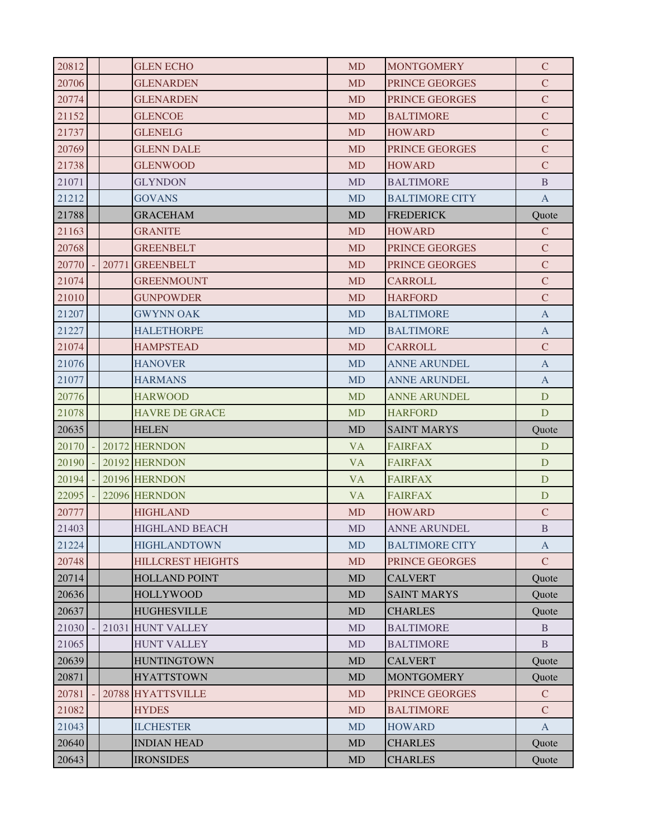| 20812 |       | <b>GLEN ECHO</b>         | <b>MD</b> | <b>MONTGOMERY</b>     | $\mathcal{C}$ |
|-------|-------|--------------------------|-----------|-----------------------|---------------|
| 20706 |       | <b>GLENARDEN</b>         | <b>MD</b> | PRINCE GEORGES        | $\mathcal{C}$ |
| 20774 |       | <b>GLENARDEN</b>         | <b>MD</b> | PRINCE GEORGES        | $\mathbf C$   |
| 21152 |       | <b>GLENCOE</b>           | <b>MD</b> | <b>BALTIMORE</b>      | $\mathbf C$   |
| 21737 |       | <b>GLENELG</b>           | <b>MD</b> | <b>HOWARD</b>         | $\mathbf C$   |
| 20769 |       | <b>GLENN DALE</b>        | <b>MD</b> | <b>PRINCE GEORGES</b> | $\mathbf C$   |
| 21738 |       | <b>GLENWOOD</b>          | <b>MD</b> | <b>HOWARD</b>         | $\mathcal{C}$ |
| 21071 |       | <b>GLYNDON</b>           | MD        | <b>BALTIMORE</b>      | $\mathbf{B}$  |
| 21212 |       | <b>GOVANS</b>            | <b>MD</b> | <b>BALTIMORE CITY</b> | $\mathbf{A}$  |
| 21788 |       | <b>GRACEHAM</b>          | <b>MD</b> | <b>FREDERICK</b>      | Quote         |
| 21163 |       | <b>GRANITE</b>           | <b>MD</b> | <b>HOWARD</b>         | $\mathbf C$   |
| 20768 |       | <b>GREENBELT</b>         | <b>MD</b> | PRINCE GEORGES        | $\mathbf C$   |
| 20770 | 20771 | <b>GREENBELT</b>         | <b>MD</b> | PRINCE GEORGES        | $\mathbf C$   |
| 21074 |       | <b>GREENMOUNT</b>        | <b>MD</b> | <b>CARROLL</b>        | $\mathbf C$   |
| 21010 |       | <b>GUNPOWDER</b>         | <b>MD</b> | <b>HARFORD</b>        | $\mathbf C$   |
| 21207 |       | <b>GWYNN OAK</b>         | <b>MD</b> | <b>BALTIMORE</b>      | $\mathbf{A}$  |
| 21227 |       | <b>HALETHORPE</b>        | <b>MD</b> | <b>BALTIMORE</b>      | $\mathbf{A}$  |
| 21074 |       | <b>HAMPSTEAD</b>         | <b>MD</b> | <b>CARROLL</b>        | $\mathbf C$   |
| 21076 |       | <b>HANOVER</b>           | <b>MD</b> | <b>ANNE ARUNDEL</b>   | $\mathbf{A}$  |
| 21077 |       | <b>HARMANS</b>           | <b>MD</b> | <b>ANNE ARUNDEL</b>   | $\mathbf{A}$  |
| 20776 |       | <b>HARWOOD</b>           | <b>MD</b> | <b>ANNE ARUNDEL</b>   | D             |
| 21078 |       | <b>HAVRE DE GRACE</b>    | <b>MD</b> | <b>HARFORD</b>        | D             |
| 20635 |       | <b>HELEN</b>             | <b>MD</b> | <b>SAINT MARYS</b>    | Quote         |
| 20170 |       | 20172 HERNDON            | <b>VA</b> | <b>FAIRFAX</b>        | D             |
| 20190 |       | 20192 HERNDON            | <b>VA</b> | <b>FAIRFAX</b>        | D             |
| 20194 |       | 20196 HERNDON            | <b>VA</b> | <b>FAIRFAX</b>        | D             |
| 22095 |       | 22096 HERNDON            | <b>VA</b> | <b>FAIRFAX</b>        | D             |
| 20777 |       | <b>HIGHLAND</b>          | MD        | <b>HOWARD</b>         | $\mathbf C$   |
| 21403 |       | <b>HIGHLAND BEACH</b>    | <b>MD</b> | ANNE ARUNDEL          | $\, {\bf B}$  |
| 21224 |       | <b>HIGHLANDTOWN</b>      | <b>MD</b> | <b>BALTIMORE CITY</b> | $\mathbf{A}$  |
| 20748 |       | <b>HILLCREST HEIGHTS</b> | <b>MD</b> | <b>PRINCE GEORGES</b> | $\mathcal{C}$ |
| 20714 |       | <b>HOLLAND POINT</b>     | <b>MD</b> | <b>CALVERT</b>        | Quote         |
| 20636 |       | <b>HOLLYWOOD</b>         | <b>MD</b> | <b>SAINT MARYS</b>    | Quote         |
| 20637 |       | HUGHESVILLE              | <b>MD</b> | <b>CHARLES</b>        | Quote         |
| 21030 |       | 21031 HUNT VALLEY        | <b>MD</b> | <b>BALTIMORE</b>      | B             |
| 21065 |       | <b>HUNT VALLEY</b>       | <b>MD</b> | <b>BALTIMORE</b>      | B             |
|       |       |                          | <b>MD</b> | <b>CALVERT</b>        | Quote         |
| 20639 |       | <b>HUNTINGTOWN</b>       |           |                       |               |
| 20871 |       | <b>HYATTSTOWN</b>        | <b>MD</b> | <b>MONTGOMERY</b>     | Quote         |
| 20781 |       | 20788 HYATTSVILLE        | <b>MD</b> | PRINCE GEORGES        | $\mathcal{C}$ |
| 21082 |       | <b>HYDES</b>             | <b>MD</b> | <b>BALTIMORE</b>      | $\mathcal{C}$ |
| 21043 |       | <b>ILCHESTER</b>         | <b>MD</b> | <b>HOWARD</b>         | $\mathbf{A}$  |
| 20640 |       | <b>INDIAN HEAD</b>       | <b>MD</b> | <b>CHARLES</b>        | Quote         |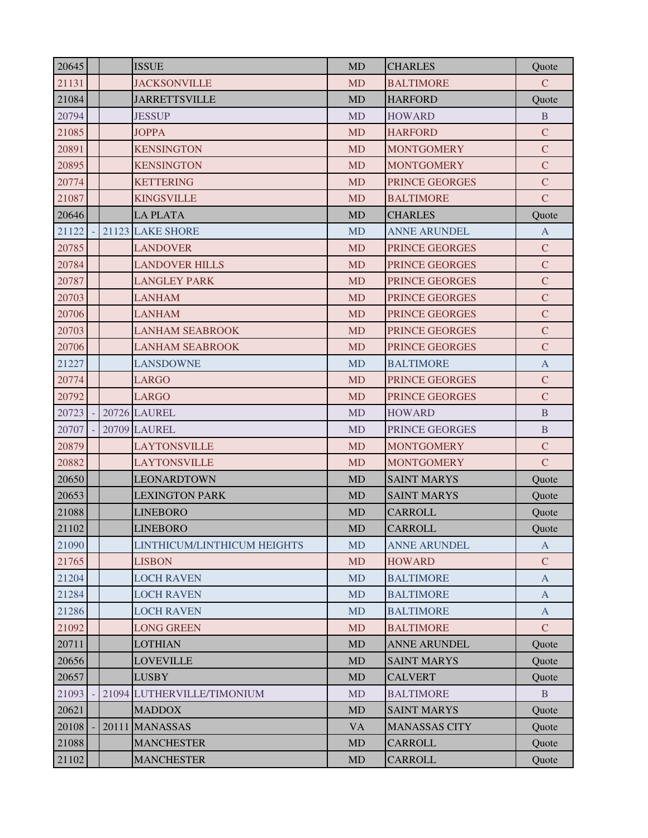| 20645 | <b>ISSUE</b>                | <b>MD</b> | <b>CHARLES</b>        | Quote                     |
|-------|-----------------------------|-----------|-----------------------|---------------------------|
| 21131 | <b>JACKSONVILLE</b>         | <b>MD</b> | <b>BALTIMORE</b>      | $\mathbf C$               |
| 21084 | <b>JARRETTSVILLE</b>        | <b>MD</b> | <b>HARFORD</b>        | Quote                     |
| 20794 | <b>JESSUP</b>               | <b>MD</b> | <b>HOWARD</b>         | B                         |
| 21085 | <b>JOPPA</b>                | <b>MD</b> | <b>HARFORD</b>        | $\mathbf C$               |
| 20891 | <b>KENSINGTON</b>           | <b>MD</b> | <b>MONTGOMERY</b>     | $\mathbf C$               |
| 20895 | <b>KENSINGTON</b>           | <b>MD</b> | <b>MONTGOMERY</b>     | $\mathbf C$               |
| 20774 | <b>KETTERING</b>            | <b>MD</b> | PRINCE GEORGES        | $\mathbf C$               |
| 21087 | <b>KINGSVILLE</b>           | <b>MD</b> | <b>BALTIMORE</b>      | $\mathbf C$               |
| 20646 | <b>LA PLATA</b>             | <b>MD</b> | <b>CHARLES</b>        | Quote                     |
| 21122 | 21123 LAKE SHORE            | <b>MD</b> | <b>ANNE ARUNDEL</b>   | $\mathbf{A}$              |
| 20785 | <b>LANDOVER</b>             | <b>MD</b> | PRINCE GEORGES        | $\mathbf C$               |
| 20784 | <b>LANDOVER HILLS</b>       | <b>MD</b> | PRINCE GEORGES        | $\mathbf C$               |
| 20787 | <b>LANGLEY PARK</b>         | <b>MD</b> | <b>PRINCE GEORGES</b> | $\mathbf C$               |
| 20703 | <b>LANHAM</b>               | <b>MD</b> | PRINCE GEORGES        | $\mathbf C$               |
| 20706 | <b>LANHAM</b>               | <b>MD</b> | PRINCE GEORGES        | $\mathbf C$               |
| 20703 | <b>LANHAM SEABROOK</b>      | <b>MD</b> | PRINCE GEORGES        | $\mathbf C$               |
| 20706 | <b>LANHAM SEABROOK</b>      | <b>MD</b> | PRINCE GEORGES        | $\mathbf C$               |
| 21227 | <b>LANSDOWNE</b>            | <b>MD</b> | <b>BALTIMORE</b>      | $\boldsymbol{\mathsf{A}}$ |
| 20774 | <b>LARGO</b>                | <b>MD</b> | PRINCE GEORGES        | $\mathbf C$               |
| 20792 | <b>LARGO</b>                | <b>MD</b> | PRINCE GEORGES        | $\mathbf C$               |
| 20723 | <b>20726 LAUREL</b>         | <b>MD</b> | <b>HOWARD</b>         | $\mathbf B$               |
| 20707 | <b>20709 LAUREL</b>         | <b>MD</b> | PRINCE GEORGES        | $\mathbf{B}$              |
| 20879 | LAYTONSVILLE                | <b>MD</b> | <b>MONTGOMERY</b>     | $\mathbf C$               |
| 20882 | <b>LAYTONSVILLE</b>         | <b>MD</b> | <b>MONTGOMERY</b>     | $\mathbf C$               |
| 20650 | <b>LEONARDTOWN</b>          | <b>MD</b> | <b>SAINT MARYS</b>    | Quote                     |
| 20653 | <b>LEXINGTON PARK</b>       | <b>MD</b> | <b>SAINT MARYS</b>    | Quote                     |
| 21088 | <b>LINEBORO</b>             | <b>MD</b> | <b>CARROLL</b>        | Quote                     |
| 21102 | <b>LINEBORO</b>             | <b>MD</b> | <b>CARROLL</b>        | Quote                     |
| 21090 | LINTHICUM/LINTHICUM HEIGHTS | <b>MD</b> | <b>ANNE ARUNDEL</b>   | A                         |
| 21765 | <b>LISBON</b>               | <b>MD</b> | <b>HOWARD</b>         | $\mathcal{C}$             |
| 21204 | <b>LOCH RAVEN</b>           | <b>MD</b> | <b>BALTIMORE</b>      | $\mathbf{A}$              |
| 21284 | <b>LOCH RAVEN</b>           | <b>MD</b> | <b>BALTIMORE</b>      | $\mathbf{A}$              |
| 21286 | <b>LOCH RAVEN</b>           | <b>MD</b> | <b>BALTIMORE</b>      | $\mathbf{A}$              |
| 21092 | <b>LONG GREEN</b>           | <b>MD</b> | <b>BALTIMORE</b>      | $\mathbf C$               |
| 20711 | <b>LOTHIAN</b>              | <b>MD</b> | <b>ANNE ARUNDEL</b>   | Quote                     |
| 20656 | <b>LOVEVILLE</b>            | <b>MD</b> | <b>SAINT MARYS</b>    | Quote                     |
| 20657 | <b>LUSBY</b>                | <b>MD</b> | <b>CALVERT</b>        | Quote                     |
| 21093 | 21094 LUTHERVILLE/TIMONIUM  | <b>MD</b> | <b>BALTIMORE</b>      | B.                        |
| 20621 | <b>MADDOX</b>               | MD        | <b>SAINT MARYS</b>    | Quote                     |
| 20108 | 20111 MANASSAS              | <b>VA</b> | <b>MANASSAS CITY</b>  | Quote                     |
| 21088 | <b>MANCHESTER</b>           | MD        | CARROLL               | Quote                     |
| 21102 | <b>MANCHESTER</b>           | MD        | <b>CARROLL</b>        | Quote                     |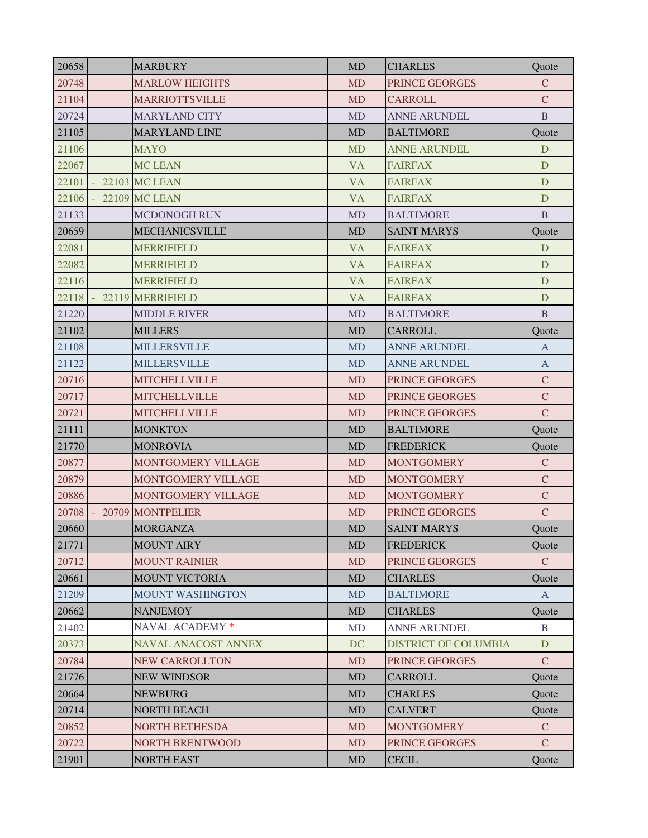| 20658 |  | <b>MARBURY</b>             | <b>MD</b> | <b>CHARLES</b>              | Quote         |
|-------|--|----------------------------|-----------|-----------------------------|---------------|
| 20748 |  | <b>MARLOW HEIGHTS</b>      | <b>MD</b> | PRINCE GEORGES              | $\mathcal{C}$ |
| 21104 |  | <b>MARRIOTTSVILLE</b>      | <b>MD</b> | <b>CARROLL</b>              | $\mathsf{C}$  |
| 20724 |  | <b>MARYLAND CITY</b>       | <b>MD</b> | <b>ANNE ARUNDEL</b>         | B             |
| 21105 |  | <b>MARYLAND LINE</b>       | <b>MD</b> | <b>BALTIMORE</b>            | Quote         |
| 21106 |  | <b>MAYO</b>                | <b>MD</b> | <b>ANNE ARUNDEL</b>         | D             |
| 22067 |  | <b>MC LEAN</b>             | <b>VA</b> | <b>FAIRFAX</b>              | D             |
| 22101 |  | <b>22103 MC LEAN</b>       | <b>VA</b> | <b>FAIRFAX</b>              | D             |
| 22106 |  | <b>22109 MC LEAN</b>       | <b>VA</b> | <b>FAIRFAX</b>              | D             |
| 21133 |  | <b>MCDONOGH RUN</b>        | <b>MD</b> | <b>BALTIMORE</b>            | B             |
| 20659 |  | <b>MECHANICSVILLE</b>      | <b>MD</b> | <b>SAINT MARYS</b>          | Quote         |
| 22081 |  | <b>MERRIFIELD</b>          | <b>VA</b> | <b>FAIRFAX</b>              | D             |
| 22082 |  | <b>MERRIFIELD</b>          | <b>VA</b> | <b>FAIRFAX</b>              | D             |
| 22116 |  | <b>MERRIFIELD</b>          | <b>VA</b> | <b>FAIRFAX</b>              | D             |
| 22118 |  | 22119 MERRIFIELD           | <b>VA</b> | <b>FAIRFAX</b>              | D             |
| 21220 |  | <b>MIDDLE RIVER</b>        | <b>MD</b> | <b>BALTIMORE</b>            | B             |
| 21102 |  | <b>MILLERS</b>             | <b>MD</b> | <b>CARROLL</b>              | Quote         |
| 21108 |  | <b>MILLERSVILLE</b>        | <b>MD</b> | <b>ANNE ARUNDEL</b>         | $\mathbf{A}$  |
| 21122 |  | <b>MILLERSVILLE</b>        | <b>MD</b> | <b>ANNE ARUNDEL</b>         | $\mathbf{A}$  |
| 20716 |  | <b>MITCHELLVILLE</b>       | <b>MD</b> | PRINCE GEORGES              | $\mathbf C$   |
| 20717 |  | <b>MITCHELLVILLE</b>       | <b>MD</b> | PRINCE GEORGES              | $\mathcal{C}$ |
| 20721 |  | <b>MITCHELLVILLE</b>       | <b>MD</b> | PRINCE GEORGES              | $\mathsf{C}$  |
| 21111 |  | <b>MONKTON</b>             | <b>MD</b> | <b>BALTIMORE</b>            | Quote         |
| 21770 |  | <b>MONROVIA</b>            | <b>MD</b> | <b>FREDERICK</b>            | Quote         |
| 20877 |  | MONTGOMERY VILLAGE         | <b>MD</b> | <b>MONTGOMERY</b>           | $\mathsf{C}$  |
| 20879 |  | MONTGOMERY VILLAGE         | <b>MD</b> | <b>MONTGOMERY</b>           | $\mathcal{C}$ |
| 20886 |  | MONTGOMERY VILLAGE         | <b>MD</b> | <b>MONTGOMERY</b>           | $\mathbf C$   |
| 20708 |  | 20709 MONTPELIER           | <b>MD</b> | PRINCE GEORGES              | $\mathsf{C}$  |
| 20660 |  | <b>MORGANZA</b>            | MD        | <b>SAINT MARYS</b>          | Ouote         |
| 21771 |  | <b>MOUNT AIRY</b>          | <b>MD</b> | <b>FREDERICK</b>            | Quote         |
| 20712 |  | <b>MOUNT RAINIER</b>       | <b>MD</b> | PRINCE GEORGES              | $\mathcal{C}$ |
| 20661 |  | <b>MOUNT VICTORIA</b>      | <b>MD</b> | <b>CHARLES</b>              | Quote         |
| 21209 |  | MOUNT WASHINGTON           | <b>MD</b> | <b>BALTIMORE</b>            | $\mathbf{A}$  |
| 20662 |  | <b>NANJEMOY</b>            | MD        | <b>CHARLES</b>              | Quote         |
| 21402 |  | NAVAL ACADEMY *            | <b>MD</b> | <b>ANNE ARUNDEL</b>         | $\mathbf{B}$  |
| 20373 |  | <b>NAVAL ANACOST ANNEX</b> | DC        | <b>DISTRICT OF COLUMBIA</b> | D             |
| 20784 |  | <b>NEW CARROLLTON</b>      | <b>MD</b> | PRINCE GEORGES              | $\mathcal{C}$ |
| 21776 |  | <b>NEW WINDSOR</b>         | <b>MD</b> | <b>CARROLL</b>              | Quote         |
| 20664 |  | <b>NEWBURG</b>             | <b>MD</b> | <b>CHARLES</b>              | Quote         |
| 20714 |  | <b>NORTH BEACH</b>         | <b>MD</b> | <b>CALVERT</b>              | Quote         |
| 20852 |  | <b>NORTH BETHESDA</b>      | <b>MD</b> | <b>MONTGOMERY</b>           | $\mathcal{C}$ |
| 20722 |  | <b>NORTH BRENTWOOD</b>     | <b>MD</b> | PRINCE GEORGES              | $\mathcal{C}$ |
| 21901 |  | <b>NORTH EAST</b>          | MD        | <b>CECIL</b>                | Quote         |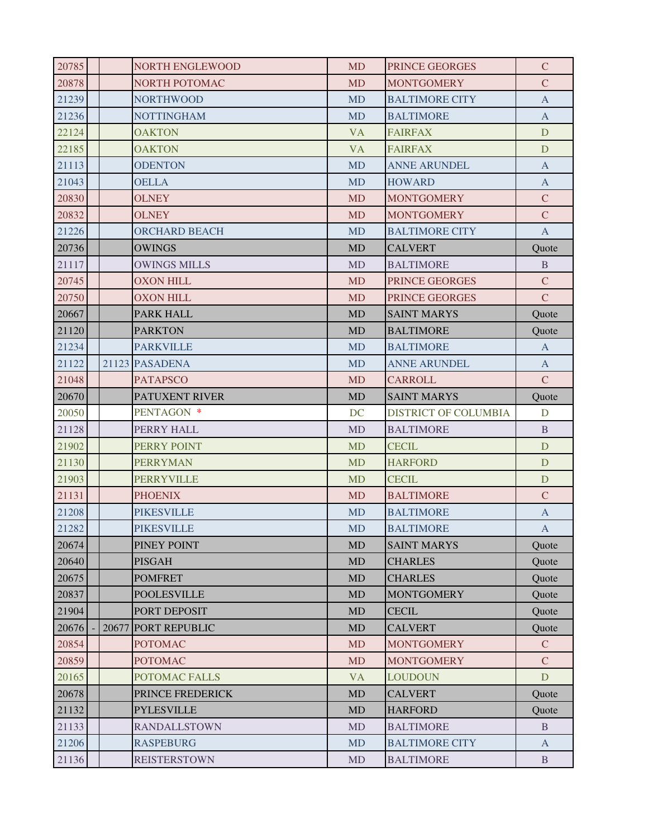| 20785 |       | <b>NORTH ENGLEWOOD</b> | <b>MD</b> | <b>PRINCE GEORGES</b>       | $\mathcal{C}$ |
|-------|-------|------------------------|-----------|-----------------------------|---------------|
| 20878 |       | NORTH POTOMAC          | <b>MD</b> | <b>MONTGOMERY</b>           | $\mathbf C$   |
| 21239 |       | <b>NORTHWOOD</b>       | <b>MD</b> | <b>BALTIMORE CITY</b>       | A             |
| 21236 |       | <b>NOTTINGHAM</b>      | <b>MD</b> | <b>BALTIMORE</b>            | $\mathbf{A}$  |
| 22124 |       | <b>OAKTON</b>          | <b>VA</b> | <b>FAIRFAX</b>              | D             |
| 22185 |       | <b>OAKTON</b>          | <b>VA</b> | <b>FAIRFAX</b>              | D             |
| 21113 |       | <b>ODENTON</b>         | <b>MD</b> | <b>ANNE ARUNDEL</b>         | A             |
| 21043 |       | <b>OELLA</b>           | <b>MD</b> | <b>HOWARD</b>               | A             |
| 20830 |       | <b>OLNEY</b>           | <b>MD</b> | <b>MONTGOMERY</b>           | $\mathcal{C}$ |
| 20832 |       | <b>OLNEY</b>           | <b>MD</b> | <b>MONTGOMERY</b>           | $\mathsf{C}$  |
| 21226 |       | <b>ORCHARD BEACH</b>   | <b>MD</b> | <b>BALTIMORE CITY</b>       | $\mathbf{A}$  |
| 20736 |       | <b>OWINGS</b>          | <b>MD</b> | <b>CALVERT</b>              | Quote         |
| 21117 |       | <b>OWINGS MILLS</b>    | <b>MD</b> | <b>BALTIMORE</b>            | B             |
| 20745 |       | <b>OXON HILL</b>       | <b>MD</b> | <b>PRINCE GEORGES</b>       | $\mathcal{C}$ |
| 20750 |       | <b>OXON HILL</b>       | <b>MD</b> | PRINCE GEORGES              | $\mathcal{C}$ |
| 20667 |       | PARK HALL              | <b>MD</b> | <b>SAINT MARYS</b>          | Quote         |
| 21120 |       | <b>PARKTON</b>         | <b>MD</b> | <b>BALTIMORE</b>            | Quote         |
| 21234 |       | <b>PARKVILLE</b>       | <b>MD</b> | <b>BALTIMORE</b>            | A             |
| 21122 |       | 21123 PASADENA         | <b>MD</b> | <b>ANNE ARUNDEL</b>         | $\mathbf{A}$  |
| 21048 |       | <b>PATAPSCO</b>        | <b>MD</b> | <b>CARROLL</b>              | $\mathsf{C}$  |
| 20670 |       | PATUXENT RIVER         | <b>MD</b> | <b>SAINT MARYS</b>          | Quote         |
| 20050 |       | PENTAGON *             | DC        | <b>DISTRICT OF COLUMBIA</b> | D             |
| 21128 |       | PERRY HALL             | <b>MD</b> | <b>BALTIMORE</b>            | B.            |
| 21902 |       | PERRY POINT            | <b>MD</b> | <b>CECIL</b>                | D             |
| 21130 |       | <b>PERRYMAN</b>        | <b>MD</b> | <b>HARFORD</b>              | D             |
| 21903 |       | <b>PERRYVILLE</b>      | <b>MD</b> | <b>CECIL</b>                | D             |
| 21131 |       | <b>PHOENIX</b>         | <b>MD</b> | <b>BALTIMORE</b>            | $\mathcal{C}$ |
| 21208 |       | <b>PIKESVILLE</b>      | <b>MD</b> | <b>BALTIMORE</b>            | A             |
| 21282 |       | <b>PIKESVILLE</b>      | <b>MD</b> | <b>BALTIMORE</b>            | $\mathbf{A}$  |
| 20674 |       | PINEY POINT            | MD        | <b>SAINT MARYS</b>          | Quote         |
| 20640 |       | <b>PISGAH</b>          | MD        | <b>CHARLES</b>              | Quote         |
| 20675 |       | <b>POMFRET</b>         | <b>MD</b> | <b>CHARLES</b>              | Quote         |
| 20837 |       | <b>POOLESVILLE</b>     | <b>MD</b> | <b>MONTGOMERY</b>           | Quote         |
| 21904 |       | PORT DEPOSIT           | <b>MD</b> | <b>CECIL</b>                | Quote         |
| 20676 | 20677 | <b>PORT REPUBLIC</b>   | MD        | <b>CALVERT</b>              | Quote         |
| 20854 |       | <b>POTOMAC</b>         | <b>MD</b> | <b>MONTGOMERY</b>           | $\mathbf{C}$  |
| 20859 |       | <b>POTOMAC</b>         | <b>MD</b> | <b>MONTGOMERY</b>           | $\mathcal{C}$ |
| 20165 |       | POTOMAC FALLS          | <b>VA</b> | <b>LOUDOUN</b>              | D             |
| 20678 |       | PRINCE FREDERICK       | <b>MD</b> | <b>CALVERT</b>              | Quote         |
| 21132 |       | <b>PYLESVILLE</b>      | MD        | <b>HARFORD</b>              | Quote         |
| 21133 |       | <b>RANDALLSTOWN</b>    | <b>MD</b> | <b>BALTIMORE</b>            | B             |
| 21206 |       | <b>RASPEBURG</b>       | <b>MD</b> | <b>BALTIMORE CITY</b>       | $\mathbf{A}$  |
| 21136 |       | <b>REISTERSTOWN</b>    | MD        | <b>BALTIMORE</b>            | $\, {\bf B}$  |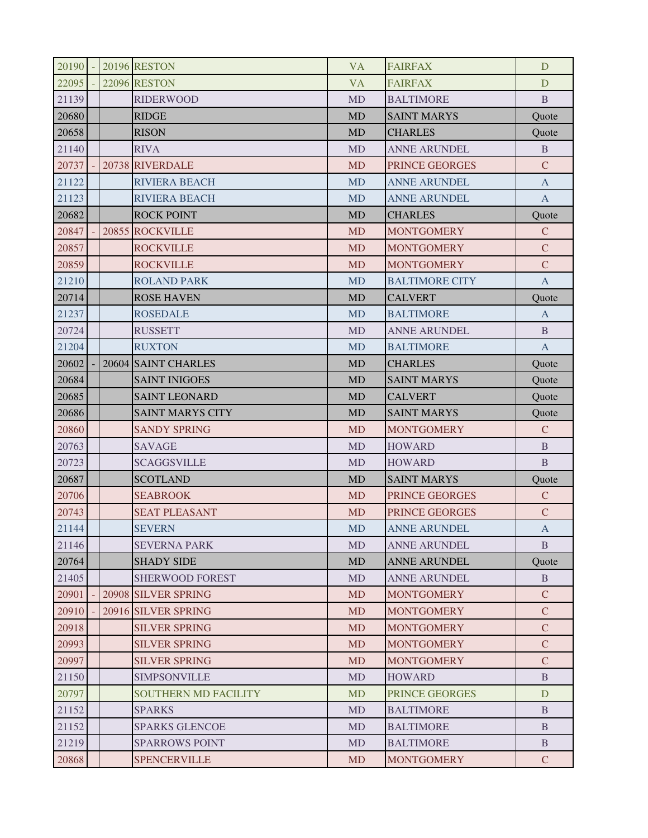| $20190 -$ |  | <b>20196 RESTON</b>         | <b>VA</b> | <b>FAIRFAX</b>        | D             |
|-----------|--|-----------------------------|-----------|-----------------------|---------------|
| 22095     |  | <b>22096 RESTON</b>         | <b>VA</b> | <b>FAIRFAX</b>        | D             |
| 21139     |  | <b>RIDERWOOD</b>            | <b>MD</b> | <b>BALTIMORE</b>      | B             |
| 20680     |  | <b>RIDGE</b>                | <b>MD</b> | <b>SAINT MARYS</b>    | Quote         |
| 20658     |  | <b>RISON</b>                | <b>MD</b> | <b>CHARLES</b>        | Quote         |
| 21140     |  | <b>RIVA</b>                 | <b>MD</b> | <b>ANNE ARUNDEL</b>   | B             |
| 20737     |  | 20738 RIVERDALE             | <b>MD</b> | PRINCE GEORGES        | $\mathcal{C}$ |
| 21122     |  | <b>RIVIERA BEACH</b>        | <b>MD</b> | <b>ANNE ARUNDEL</b>   | $\mathbf{A}$  |
| 21123     |  | <b>RIVIERA BEACH</b>        | <b>MD</b> | <b>ANNE ARUNDEL</b>   | $\mathbf{A}$  |
| 20682     |  | <b>ROCK POINT</b>           | <b>MD</b> | <b>CHARLES</b>        | Quote         |
| 20847     |  | 20855 ROCKVILLE             | <b>MD</b> | <b>MONTGOMERY</b>     | $\mathbf C$   |
| 20857     |  | <b>ROCKVILLE</b>            | <b>MD</b> | <b>MONTGOMERY</b>     | $\mathsf{C}$  |
| 20859     |  | <b>ROCKVILLE</b>            | <b>MD</b> | <b>MONTGOMERY</b>     | $\mathcal{C}$ |
| 21210     |  | <b>ROLAND PARK</b>          | <b>MD</b> | <b>BALTIMORE CITY</b> | $\mathbf{A}$  |
| 20714     |  | <b>ROSE HAVEN</b>           | <b>MD</b> | <b>CALVERT</b>        | Quote         |
| 21237     |  | <b>ROSEDALE</b>             | <b>MD</b> | <b>BALTIMORE</b>      | $\mathbf{A}$  |
| 20724     |  | <b>RUSSETT</b>              | <b>MD</b> | <b>ANNE ARUNDEL</b>   | B             |
| 21204     |  | <b>RUXTON</b>               | <b>MD</b> | <b>BALTIMORE</b>      | $\mathbf{A}$  |
| 20602     |  | 20604 SAINT CHARLES         | <b>MD</b> | <b>CHARLES</b>        | Quote         |
| 20684     |  | <b>SAINT INIGOES</b>        | <b>MD</b> | <b>SAINT MARYS</b>    | Quote         |
| 20685     |  | <b>SAINT LEONARD</b>        | <b>MD</b> | <b>CALVERT</b>        | Quote         |
| 20686     |  | <b>SAINT MARYS CITY</b>     | <b>MD</b> | <b>SAINT MARYS</b>    | Quote         |
| 20860     |  | <b>SANDY SPRING</b>         | <b>MD</b> | <b>MONTGOMERY</b>     | $\mathcal{C}$ |
| 20763     |  | <b>SAVAGE</b>               | <b>MD</b> | <b>HOWARD</b>         | B             |
| 20723     |  | <b>SCAGGSVILLE</b>          | <b>MD</b> | <b>HOWARD</b>         | $\mathbf{B}$  |
| 20687     |  | <b>SCOTLAND</b>             | <b>MD</b> | <b>SAINT MARYS</b>    | Quote         |
| 20706     |  | <b>SEABROOK</b>             | <b>MD</b> | PRINCE GEORGES        | $\mathcal{C}$ |
| 20743     |  | <b>SEAT PLEASANT</b>        | <b>MD</b> | PRINCE GEORGES        | $\mathbf C$   |
| 21144     |  | <b>SEVERN</b>               | <b>MD</b> | <b>ANNE ARUNDEL</b>   | $\mathbf{A}$  |
| 21146     |  | <b>SEVERNA PARK</b>         | <b>MD</b> | <b>ANNE ARUNDEL</b>   | B             |
| 20764     |  | <b>SHADY SIDE</b>           | <b>MD</b> | <b>ANNE ARUNDEL</b>   | Quote         |
| 21405     |  | <b>SHERWOOD FOREST</b>      | <b>MD</b> | <b>ANNE ARUNDEL</b>   | B             |
| 20901     |  | 20908 SILVER SPRING         | <b>MD</b> | <b>MONTGOMERY</b>     | $\mathbf C$   |
| 20910     |  | 20916 SILVER SPRING         | <b>MD</b> | <b>MONTGOMERY</b>     | $\mathbf C$   |
| 20918     |  | <b>SILVER SPRING</b>        | <b>MD</b> | <b>MONTGOMERY</b>     | $\mathbf C$   |
| 20993     |  | <b>SILVER SPRING</b>        | <b>MD</b> | <b>MONTGOMERY</b>     | $\mathbf C$   |
| 20997     |  | <b>SILVER SPRING</b>        | <b>MD</b> | <b>MONTGOMERY</b>     | $\mathcal{C}$ |
| 21150     |  | <b>SIMPSONVILLE</b>         | <b>MD</b> | <b>HOWARD</b>         | B             |
| 20797     |  | <b>SOUTHERN MD FACILITY</b> | <b>MD</b> | PRINCE GEORGES        | D             |
| 21152     |  | <b>SPARKS</b>               | <b>MD</b> | <b>BALTIMORE</b>      | <sub>B</sub>  |
| 21152     |  | <b>SPARKS GLENCOE</b>       | <b>MD</b> | <b>BALTIMORE</b>      | B             |
| 21219     |  | <b>SPARROWS POINT</b>       | <b>MD</b> | <b>BALTIMORE</b>      | B             |
| 20868     |  | <b>SPENCERVILLE</b>         | <b>MD</b> | <b>MONTGOMERY</b>     | $\mathcal{C}$ |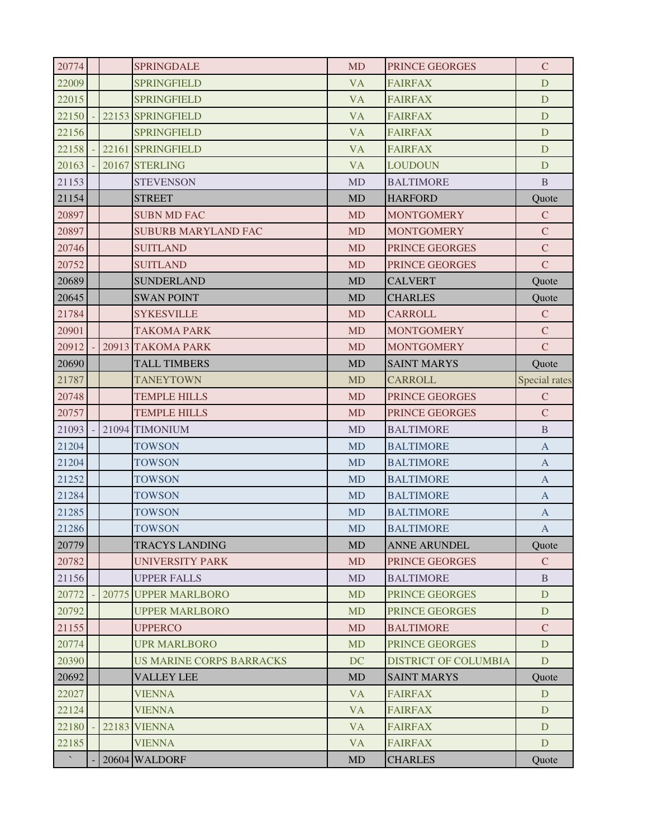| 20774          |  | <b>SPRINGDALE</b>               | <b>MD</b> | <b>PRINCE GEORGES</b>       | $\mathbf C$               |
|----------------|--|---------------------------------|-----------|-----------------------------|---------------------------|
| 22009          |  | <b>SPRINGFIELD</b>              | <b>VA</b> | <b>FAIRFAX</b>              | D                         |
| 22015          |  | <b>SPRINGFIELD</b>              | <b>VA</b> | <b>FAIRFAX</b>              | D                         |
| 22150          |  | 22153 SPRINGFIELD               | <b>VA</b> | <b>FAIRFAX</b>              | D                         |
| 22156          |  | <b>SPRINGFIELD</b>              | <b>VA</b> | <b>FAIRFAX</b>              | D                         |
| 22158          |  | 22161 SPRINGFIELD               | <b>VA</b> | <b>FAIRFAX</b>              | D                         |
| 20163          |  | 20167 STERLING                  | <b>VA</b> | <b>LOUDOUN</b>              | D                         |
| 21153          |  | <b>STEVENSON</b>                | <b>MD</b> | <b>BALTIMORE</b>            | $\, {\bf B}$              |
| 21154          |  | <b>STREET</b>                   | <b>MD</b> | <b>HARFORD</b>              | Quote                     |
| 20897          |  | <b>SUBN MD FAC</b>              | <b>MD</b> | <b>MONTGOMERY</b>           | $\mathbf C$               |
| 20897          |  | <b>SUBURB MARYLAND FAC</b>      | <b>MD</b> | <b>MONTGOMERY</b>           | $\mathsf{C}$              |
| 20746          |  | <b>SUITLAND</b>                 | <b>MD</b> | PRINCE GEORGES              | $\mathcal{C}$             |
| 20752          |  | <b>SUITLAND</b>                 | <b>MD</b> | PRINCE GEORGES              | $\overline{C}$            |
| 20689          |  | <b>SUNDERLAND</b>               | <b>MD</b> | <b>CALVERT</b>              | Quote                     |
| 20645          |  | <b>SWAN POINT</b>               | MD        | <b>CHARLES</b>              | Quote                     |
| 21784          |  | <b>SYKESVILLE</b>               | <b>MD</b> | <b>CARROLL</b>              | $\mathbf C$               |
| 20901          |  | <b>TAKOMA PARK</b>              | <b>MD</b> | <b>MONTGOMERY</b>           | $\mathcal{C}$             |
| 20912          |  | 20913 TAKOMA PARK               | MD        | <b>MONTGOMERY</b>           | $\mathsf{C}$              |
| 20690          |  | TALL TIMBERS                    | <b>MD</b> | <b>SAINT MARYS</b>          | Quote                     |
| 21787          |  | <b>TANEYTOWN</b>                | <b>MD</b> | <b>CARROLL</b>              | <b>Special rates</b>      |
| 20748          |  | <b>TEMPLE HILLS</b>             | <b>MD</b> | PRINCE GEORGES              | $\mathsf{C}$              |
| 20757          |  | <b>TEMPLE HILLS</b>             | <b>MD</b> | PRINCE GEORGES              | $\mathcal{C}$             |
| 21093          |  | 21094 TIMONIUM                  | MD        | <b>BALTIMORE</b>            | $\mathbf{B}$              |
| 21204          |  | <b>TOWSON</b>                   | <b>MD</b> | <b>BALTIMORE</b>            | $\mathbf{A}$              |
| 21204          |  | <b>TOWSON</b>                   | <b>MD</b> | <b>BALTIMORE</b>            | $\mathbf{A}$              |
| 21252          |  | <b>TOWSON</b>                   | <b>MD</b> | <b>BALTIMORE</b>            | $\mathbf{A}$              |
| 21284          |  | <b>TOWSON</b>                   | <b>MD</b> | <b>BALTIMORE</b>            | $\overline{A}$            |
| 21285          |  | <b>TOWSON</b>                   | <b>MD</b> | <b>BALTIMORE</b>            | $\boldsymbol{\mathsf{A}}$ |
| 21286          |  | <b>TOWSON</b>                   | <b>MD</b> | <b>BALTIMORE</b>            | A                         |
| 20779          |  | <b>TRACYS LANDING</b>           | <b>MD</b> | ANNE ARUNDEL                | Quote                     |
| 20782          |  | <b>UNIVERSITY PARK</b>          | <b>MD</b> | PRINCE GEORGES              | $\mathbf C$               |
| 21156          |  | <b>UPPER FALLS</b>              | <b>MD</b> | <b>BALTIMORE</b>            | B                         |
| 20772          |  | 20775 UPPER MARLBORO            | <b>MD</b> | PRINCE GEORGES              | D                         |
| 20792          |  | <b>UPPER MARLBORO</b>           | <b>MD</b> | <b>PRINCE GEORGES</b>       | D                         |
| 21155          |  | <b>UPPERCO</b>                  | <b>MD</b> | <b>BALTIMORE</b>            | $\mathsf{C}$              |
| 20774          |  | <b>UPR MARLBORO</b>             | <b>MD</b> | PRINCE GEORGES              | D                         |
| 20390          |  | <b>US MARINE CORPS BARRACKS</b> | <b>DC</b> | <b>DISTRICT OF COLUMBIA</b> | D                         |
| 20692          |  | <b>VALLEY LEE</b>               | MD        | <b>SAINT MARYS</b>          | Quote                     |
| 22027          |  | <b>VIENNA</b>                   | <b>VA</b> | <b>FAIRFAX</b>              | D                         |
| 22124          |  | <b>VIENNA</b>                   | <b>VA</b> | <b>FAIRFAX</b>              | D                         |
| 22180          |  | <b>22183 VIENNA</b>             | <b>VA</b> | <b>FAIRFAX</b>              | D                         |
| 22185          |  | <b>VIENNA</b>                   | <b>VA</b> | <b>FAIRFAX</b>              | D                         |
| $\mathbf{x}_i$ |  | 20604 WALDORF                   | MD        | <b>CHARLES</b>              | Quote                     |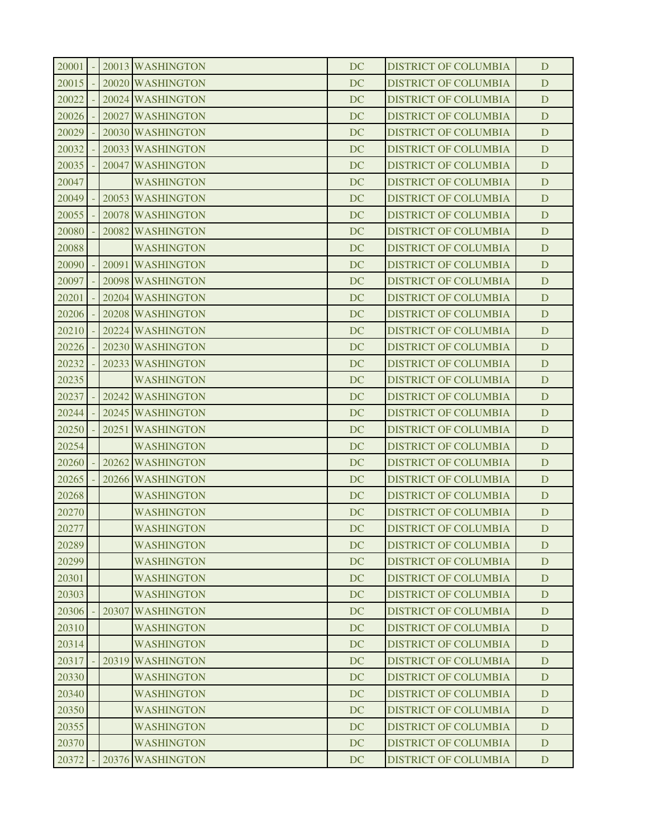| 20001 |       | 20013 WASHINGTON  | DC        | <b>DISTRICT OF COLUMBIA</b> | D |
|-------|-------|-------------------|-----------|-----------------------------|---|
| 20015 |       | 20020 WASHINGTON  | <b>DC</b> | <b>DISTRICT OF COLUMBIA</b> | D |
| 20022 |       | 20024 WASHINGTON  | DC        | <b>DISTRICT OF COLUMBIA</b> | D |
| 20026 |       | 20027 WASHINGTON  | <b>DC</b> | <b>DISTRICT OF COLUMBIA</b> | D |
| 20029 |       | 20030 WASHINGTON  | <b>DC</b> | <b>DISTRICT OF COLUMBIA</b> | D |
| 20032 |       | 20033 WASHINGTON  | <b>DC</b> | <b>DISTRICT OF COLUMBIA</b> | D |
| 20035 |       | 20047 WASHINGTON  | <b>DC</b> | <b>DISTRICT OF COLUMBIA</b> | D |
| 20047 |       | <b>WASHINGTON</b> | DC        | <b>DISTRICT OF COLUMBIA</b> | D |
| 20049 |       | 20053 WASHINGTON  | <b>DC</b> | <b>DISTRICT OF COLUMBIA</b> | D |
| 20055 |       | 20078 WASHINGTON  | <b>DC</b> | <b>DISTRICT OF COLUMBIA</b> | D |
| 20080 |       | 20082 WASHINGTON  | <b>DC</b> | <b>DISTRICT OF COLUMBIA</b> | D |
| 20088 |       | <b>WASHINGTON</b> | <b>DC</b> | <b>DISTRICT OF COLUMBIA</b> | D |
| 20090 |       | 20091 WASHINGTON  | DC        | <b>DISTRICT OF COLUMBIA</b> | D |
| 20097 |       | 20098 WASHINGTON  | <b>DC</b> | <b>DISTRICT OF COLUMBIA</b> | D |
| 20201 |       | 20204 WASHINGTON  | <b>DC</b> | <b>DISTRICT OF COLUMBIA</b> | D |
| 20206 |       | 20208 WASHINGTON  | <b>DC</b> | <b>DISTRICT OF COLUMBIA</b> | D |
| 20210 |       | 20224 WASHINGTON  | <b>DC</b> | <b>DISTRICT OF COLUMBIA</b> | D |
| 20226 |       | 20230 WASHINGTON  | DC        | <b>DISTRICT OF COLUMBIA</b> | D |
| 20232 |       | 20233 WASHINGTON  | <b>DC</b> | <b>DISTRICT OF COLUMBIA</b> | D |
| 20235 |       | <b>WASHINGTON</b> | <b>DC</b> | <b>DISTRICT OF COLUMBIA</b> | D |
| 20237 |       | 20242 WASHINGTON  | <b>DC</b> | <b>DISTRICT OF COLUMBIA</b> | D |
| 20244 |       | 20245 WASHINGTON  | <b>DC</b> | <b>DISTRICT OF COLUMBIA</b> | D |
| 20250 |       | 20251 WASHINGTON  | DC        | <b>DISTRICT OF COLUMBIA</b> | D |
| 20254 |       | <b>WASHINGTON</b> | <b>DC</b> | <b>DISTRICT OF COLUMBIA</b> | D |
| 20260 |       | 20262 WASHINGTON  | <b>DC</b> | <b>DISTRICT OF COLUMBIA</b> | D |
| 20265 |       | 20266 WASHINGTON  | DC        | <b>DISTRICT OF COLUMBIA</b> | D |
| 20268 |       | <b>WASHINGTON</b> | <b>DC</b> | <b>DISTRICT OF COLUMBIA</b> | D |
| 20270 |       | <b>WASHINGTON</b> | DC        | <b>DISTRICT OF COLUMBIA</b> | D |
| 20277 |       | <b>WASHINGTON</b> | <b>DC</b> | <b>DISTRICT OF COLUMBIA</b> | D |
| 20289 |       | <b>WASHINGTON</b> | <b>DC</b> | <b>DISTRICT OF COLUMBIA</b> | D |
| 20299 |       | <b>WASHINGTON</b> | DC        | <b>DISTRICT OF COLUMBIA</b> | D |
| 20301 |       | <b>WASHINGTON</b> | <b>DC</b> | <b>DISTRICT OF COLUMBIA</b> | D |
| 20303 |       | <b>WASHINGTON</b> | <b>DC</b> | <b>DISTRICT OF COLUMBIA</b> | D |
| 20306 | 20307 | <b>WASHINGTON</b> | <b>DC</b> | <b>DISTRICT OF COLUMBIA</b> | D |
| 20310 |       | <b>WASHINGTON</b> | <b>DC</b> | <b>DISTRICT OF COLUMBIA</b> | D |
| 20314 |       | <b>WASHINGTON</b> | <b>DC</b> | <b>DISTRICT OF COLUMBIA</b> | D |
| 20317 |       | 20319 WASHINGTON  | <b>DC</b> | <b>DISTRICT OF COLUMBIA</b> | D |
| 20330 |       | <b>WASHINGTON</b> | DC        | <b>DISTRICT OF COLUMBIA</b> | D |
| 20340 |       | <b>WASHINGTON</b> | <b>DC</b> | <b>DISTRICT OF COLUMBIA</b> | D |
| 20350 |       | <b>WASHINGTON</b> | <b>DC</b> | <b>DISTRICT OF COLUMBIA</b> | D |
| 20355 |       | <b>WASHINGTON</b> | DC        | <b>DISTRICT OF COLUMBIA</b> | D |
| 20370 |       | <b>WASHINGTON</b> | <b>DC</b> | <b>DISTRICT OF COLUMBIA</b> | D |
| 20372 |       | 20376 WASHINGTON  | DC        | <b>DISTRICT OF COLUMBIA</b> | D |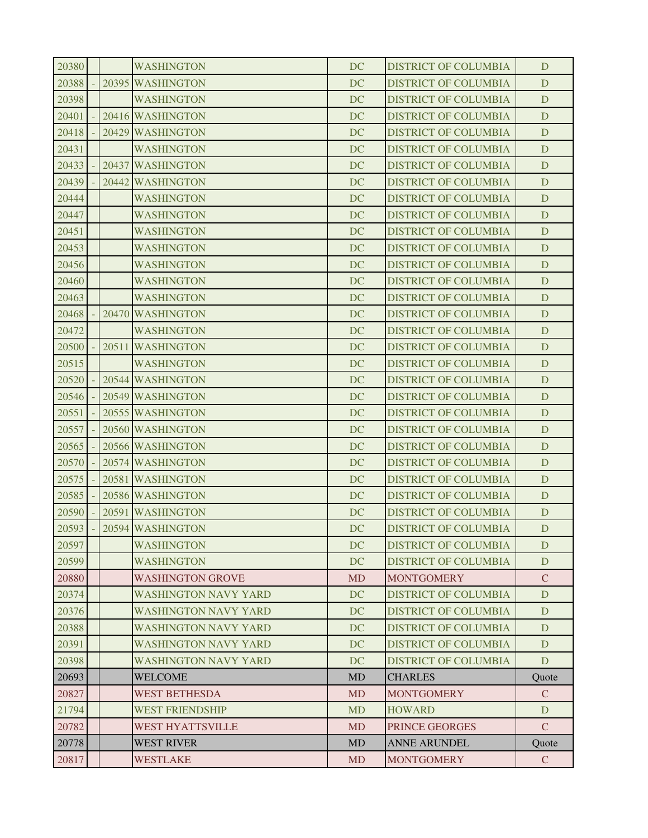| 20782<br>20778 | WEST HYATTSVILLE<br><b>WEST RIVER</b> | <b>MD</b><br><b>MD</b> | PRINCE GEORGES<br><b>ANNE ARUNDEL</b>                      | $\mathcal{C}$<br>Quote |
|----------------|---------------------------------------|------------------------|------------------------------------------------------------|------------------------|
|                |                                       |                        |                                                            |                        |
|                |                                       |                        |                                                            |                        |
| 21794          | <b>WEST FRIENDSHIP</b>                | <b>MD</b>              | <b>HOWARD</b>                                              | D                      |
| 20827          | WEST BETHESDA                         | <b>MD</b>              | <b>MONTGOMERY</b>                                          | $\mathbf{C}$           |
| 20693          | <b>WELCOME</b>                        | <b>MD</b>              | <b>CHARLES</b>                                             | Quote                  |
| 20398          | WASHINGTON NAVY YARD                  | <b>DC</b>              | <b>DISTRICT OF COLUMBIA</b>                                | D                      |
| 20391          | WASHINGTON NAVY YARD                  | DC                     | <b>DISTRICT OF COLUMBIA</b>                                | D                      |
| 20388          | <b>WASHINGTON NAVY YARD</b>           | <b>DC</b>              | <b>DISTRICT OF COLUMBIA</b>                                | D                      |
| 20376          | WASHINGTON NAVY YARD                  | DC                     | <b>DISTRICT OF COLUMBIA</b>                                | D                      |
| 20374          | <b>WASHINGTON NAVY YARD</b>           | DC                     | <b>DISTRICT OF COLUMBIA</b>                                | D                      |
| 20880          | <b>WASHINGTON GROVE</b>               | <b>MD</b>              | <b>MONTGOMERY</b>                                          | $\mathcal{C}$          |
| 20599          | <b>WASHINGTON</b>                     | <b>DC</b>              | <b>DISTRICT OF COLUMBIA</b>                                | D                      |
| 20597          | WASHINGTON                            | DC                     | <b>DISTRICT OF COLUMBIA</b>                                | D                      |
| 20593          | 20594 WASHINGTON                      | <b>DC</b>              | <b>DISTRICT OF COLUMBIA</b>                                | D                      |
| 20590          | 20591 WASHINGTON                      | DC                     | <b>DISTRICT OF COLUMBIA</b>                                | D                      |
| 20585          | 20586 WASHINGTON                      | <b>DC</b>              | <b>DISTRICT OF COLUMBIA</b>                                | D                      |
| 20575          | 20581 WASHINGTON                      | <b>DC</b>              | <b>DISTRICT OF COLUMBIA</b>                                | D<br>D                 |
| 20570          | 20574 WASHINGTON                      | <b>DC</b>              | <b>DISTRICT OF COLUMBIA</b>                                |                        |
| 20557<br>20565 | 20566 WASHINGTON                      | DC<br><b>DC</b>        | <b>DISTRICT OF COLUMBIA</b>                                | D                      |
|                | 20560 WASHINGTON                      |                        | <b>DISTRICT OF COLUMBIA</b>                                | D                      |
| 20551          | 20555 WASHINGTON                      | <b>DC</b>              | <b>DISTRICT OF COLUMBIA</b>                                | D                      |
| 20546          | 20549 WASHINGTON                      | <b>DC</b>              | <b>DISTRICT OF COLUMBIA</b>                                | D                      |
| 20520          | 20544 WASHINGTON                      | <b>DC</b>              | <b>DISTRICT OF COLUMBIA</b>                                | D                      |
| 20515          | <b>WASHINGTON</b>                     | <b>DC</b>              | <b>DISTRICT OF COLUMBIA</b>                                | D                      |
| 20500          | 20511 WASHINGTON                      | DC                     | <b>DISTRICT OF COLUMBIA</b>                                | D                      |
| 20472          | <b>WASHINGTON</b>                     | <b>DC</b>              | <b>DISTRICT OF COLUMBIA</b>                                | D                      |
| 20468          | 20470 WASHINGTON                      | DC                     | <b>DISTRICT OF COLUMBIA</b>                                | D                      |
| 20463          | WASHINGTON<br><b>WASHINGTON</b>       | <b>DC</b>              | <b>DISTRICT OF COLUMBIA</b><br><b>DISTRICT OF COLUMBIA</b> | D                      |
| 20456<br>20460 | <b>WASHINGTON</b>                     | DC<br><b>DC</b>        | <b>DISTRICT OF COLUMBIA</b>                                | D<br>D                 |
| 20453          | <b>WASHINGTON</b>                     | <b>DC</b>              | <b>DISTRICT OF COLUMBIA</b>                                | D                      |
| 20451          | WASHINGTON                            | <b>DC</b>              | <b>DISTRICT OF COLUMBIA</b>                                | D                      |
| 20447          | <b>WASHINGTON</b>                     | <b>DC</b>              | <b>DISTRICT OF COLUMBIA</b>                                | D                      |
| 20444          | <b>WASHINGTON</b>                     | <b>DC</b>              | <b>DISTRICT OF COLUMBIA</b>                                | D                      |
| 20439          | 20442 WASHINGTON                      | DC                     | <b>DISTRICT OF COLUMBIA</b>                                | D                      |
| 20433          | 20437 WASHINGTON                      | <b>DC</b>              | <b>DISTRICT OF COLUMBIA</b>                                | D                      |
| 20431          | <b>WASHINGTON</b>                     | DC                     | <b>DISTRICT OF COLUMBIA</b>                                | D                      |
| 20418          | 20429 WASHINGTON                      | <b>DC</b>              | <b>DISTRICT OF COLUMBIA</b>                                | D                      |
| 20401          | 20416 WASHINGTON                      | <b>DC</b>              | <b>DISTRICT OF COLUMBIA</b>                                | D                      |
| 20398          | <b>WASHINGTON</b>                     | DC                     | <b>DISTRICT OF COLUMBIA</b>                                | D                      |
| 20388          | 20395 WASHINGTON                      | <b>DC</b>              | <b>DISTRICT OF COLUMBIA</b>                                | D                      |
| 20380          | WASHINGTON                            | DC                     | <b>DISTRICT OF COLUMBIA</b>                                | D                      |